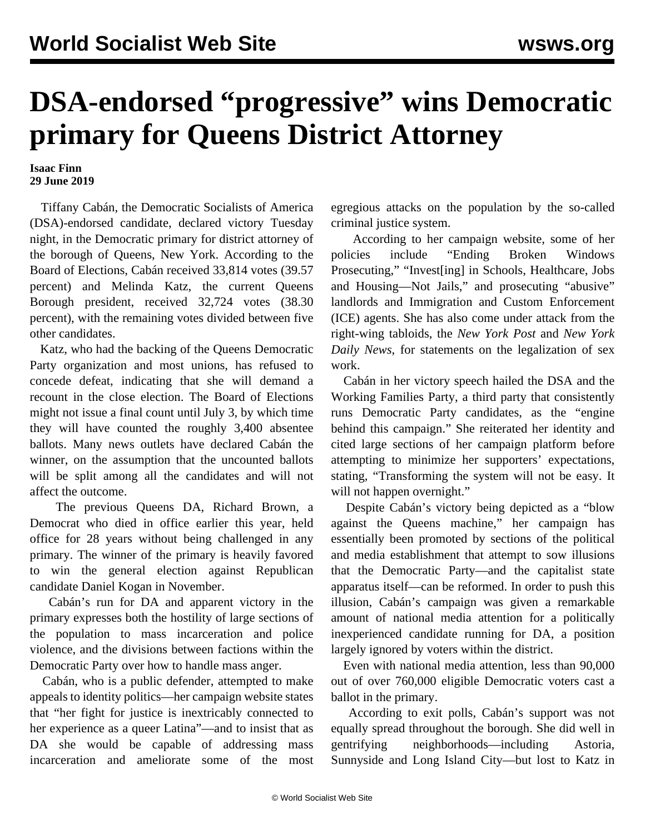## **DSA-endorsed "progressive" wins Democratic primary for Queens District Attorney**

## **Isaac Finn 29 June 2019**

 Tiffany Cabán, the Democratic Socialists of America (DSA)-endorsed candidate, declared victory Tuesday night, in the Democratic primary for district attorney of the borough of Queens, New York. According to the Board of Elections, Cabán received 33,814 votes (39.57 percent) and Melinda Katz, the current Queens Borough president, received 32,724 votes (38.30 percent), with the remaining votes divided between five other candidates.

 Katz, who had the backing of the Queens Democratic Party organization and most unions, has refused to concede defeat, indicating that she will demand a recount in the close election. The Board of Elections might not issue a final count until July 3, by which time they will have counted the roughly 3,400 absentee ballots. Many news outlets have declared Cabán the winner, on the assumption that the uncounted ballots will be split among all the candidates and will not affect the outcome.

 The previous Queens DA, Richard Brown, a Democrat who died in office earlier this year, held office for 28 years without being challenged in any primary. The winner of the primary is heavily favored to win the general election against Republican candidate Daniel Kogan in November.

 Cabán's run for DA and apparent victory in the primary expresses both the hostility of large sections of the population to mass incarceration and police violence, and the divisions between factions within the Democratic Party over how to handle mass anger.

 Cabán, who is a public defender, attempted to make appeals to identity politics—her campaign website states that "her fight for justice is inextricably connected to her experience as a queer Latina"—and to insist that as DA she would be capable of addressing mass incarceration and ameliorate some of the most egregious attacks on the population by the so-called criminal justice system.

 According to her campaign website, some of her policies include "Ending Broken Windows Prosecuting," "Invest[ing] in Schools, Healthcare, Jobs and Housing—Not Jails," and prosecuting "abusive" landlords and Immigration and Custom Enforcement (ICE) agents. She has also come under attack from the right-wing tabloids, the *New York Post* and *New York Daily News*, for statements on the legalization of sex work.

 Cabán in her victory speech hailed the DSA and the Working Families Party, a third party that consistently runs Democratic Party candidates, as the "engine behind this campaign." She reiterated her identity and cited large sections of her campaign platform before attempting to minimize her supporters' expectations, stating, "Transforming the system will not be easy. It will not happen overnight."

 Despite Cabán's victory being depicted as a "blow against the Queens machine," her campaign has essentially been promoted by sections of the political and media establishment that attempt to sow illusions that the Democratic Party—and the capitalist state apparatus itself—can be reformed. In order to push this illusion, Cabán's campaign was given a remarkable amount of national media attention for a politically inexperienced candidate running for DA, a position largely ignored by voters within the district.

 Even with national media attention, less than 90,000 out of over 760,000 eligible Democratic voters cast a ballot in the primary.

 According to exit polls, Cabán's support was not equally spread throughout the borough. She did well in gentrifying neighborhoods—including Astoria, Sunnyside and Long Island City—but lost to Katz in